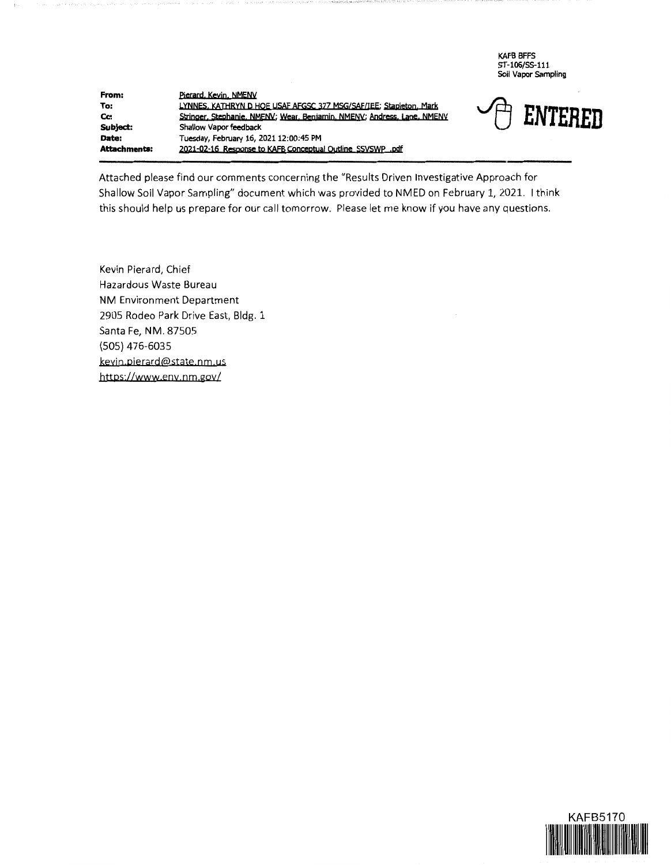KAFB BFFS ST-106/SS-111 Soil Vapor Sampling

**From:**  To: Cc: **Subject:**  Pierard, Kevin, NMENV LYNNES, KATHRYN D HOE USAF AFGSC 377 MSG/SAF/IEE; Stapleton, Mark Stringer, Stephanie, NMENY; Wear, Benjamin, NMENY; Andress, Lane, NMENY LYNNES, KATHRYN D. HOE USAF AFGSC 377 MSG/SAF/IEE; Stapleton, Mark<br>Stringer, Stephanie, NMENV; Wear, Benjamin, NMENV; Andress, Lane, NMENV<br>Shallow Vapor feedback **Date: Tuesday, February 16, 2021 12:00:45 PM Attachments: 2021-02-16 Response to KAFB Conceptual Outline ssyswp pdf** 



Attached please find our comments concerning the "Results Driven Investigative Approach for Shallow Soil Vapor Sampling" document which was provided to NMED on February 1, 2021. I think this should help us prepare for our call tomorrow. Please let me know if you have any questions.

Kevin Pierard, Chief Hazardous Waste Bureau **NM** Environment Department 2905 Rodeo Park Drive East, Bldg. 1 Santa Fe, **NM.** 87505 (505) 476-6035 kevin pierard@state nm us https://www.env.nm.gov/

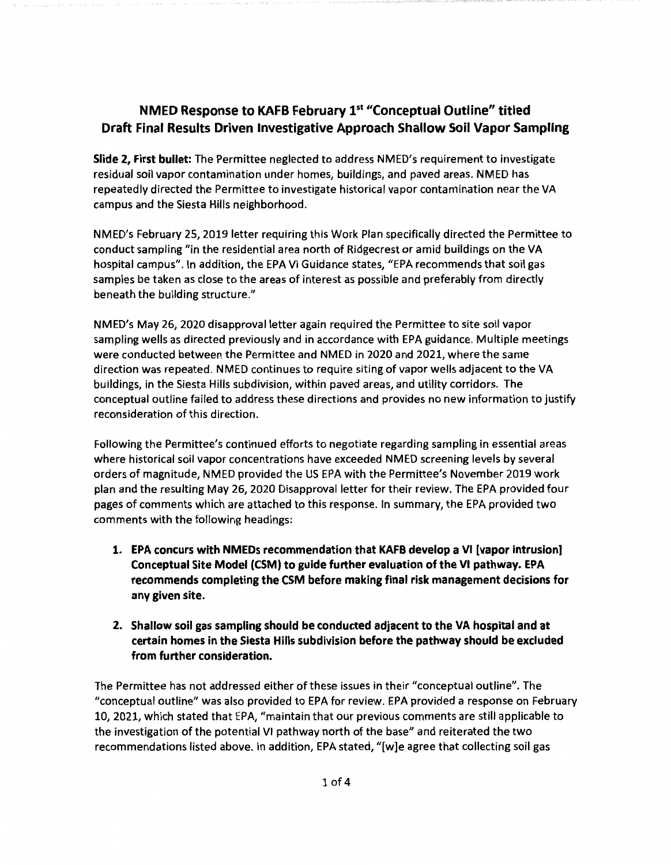## **NMED Response to KAFB February ist "Conceptual Outline" titled Draft Final Results Driven Investigative Approach Shallow Soil Vapor Sampling**

**Slide 2, First bullet:** The Permittee neglected to address NMED's requirement to investigate residual soil vapor contamination under homes, buildings, and paved areas. NMED has repeatedly directed the Permittee to investigate historical vapor contamination near the VA campus and the Siesta Hills neighborhood.

NMED's February 25, 2019 letter requiring this Work Plan specifically directed the Permittee to conduct sampling "in the residential area north of Ridgecrest or amid buildings on the VA hospital campus". In addition, the EPA VI Guidance states, "EPA recommends that soil gas samples be taken as close to the areas of interest as possible and preferably from directly beneath the building structure."

NMED's May 26, 2020 disapproval letter again required the Permittee to site soil vapor sampling wells as directed previously and in accordance with EPA guidance. Multiple meetings were conducted between the Permittee and NMED in 2020 and 2021, where the same direction was repeated. NMED continues to require siting of vapor wells adjacent to the VA buildings, in the Siesta Hills subdivision, within paved areas, and utility corridors. The conceptual outline failed to address these directions and provides no new information to justify reconsideration of this direction.

Following the Permittee's continued efforts to negotiate regarding sampling in essential areas where historical soil vapor concentrations have exceeded NMED screening levels by several orders of magnitude, NMED provided the US EPA with the Permittee's November 2019 work plan and the resulting May 26, 2020 Disapproval letter for their review. The EPA provided four pages of comments which are attached to this response. In summary, the EPA provided two comments with the following headings:

- **1. EPA concurs with NMEDs recommendation that KAFB develop a VI [vapor intrusion] Conceptual Site Model (CSM) to guide further evaluation of the VI pathway. EPA recommends completing the CSM before making final risk management decisions for any given site.**
- **2. Shallow soil gas sampling should be conducted adjacent to the VA hospital and at certain homes in the Siesta Hills subdivision before the pathway should be excluded from further consideration.**

The Permittee has not addressed either of these issues in their "conceptual outline". The "conceptual outline" was also provided to EPA for review. EPA provided a response on February 10, 2021, which stated that EPA, "maintain that our previous comments are still applicable to the investigation of the potential VI pathway north of the base" and reiterated the two recommendations listed above. In addition, EPA stated, "[w]e agree that collecting soil gas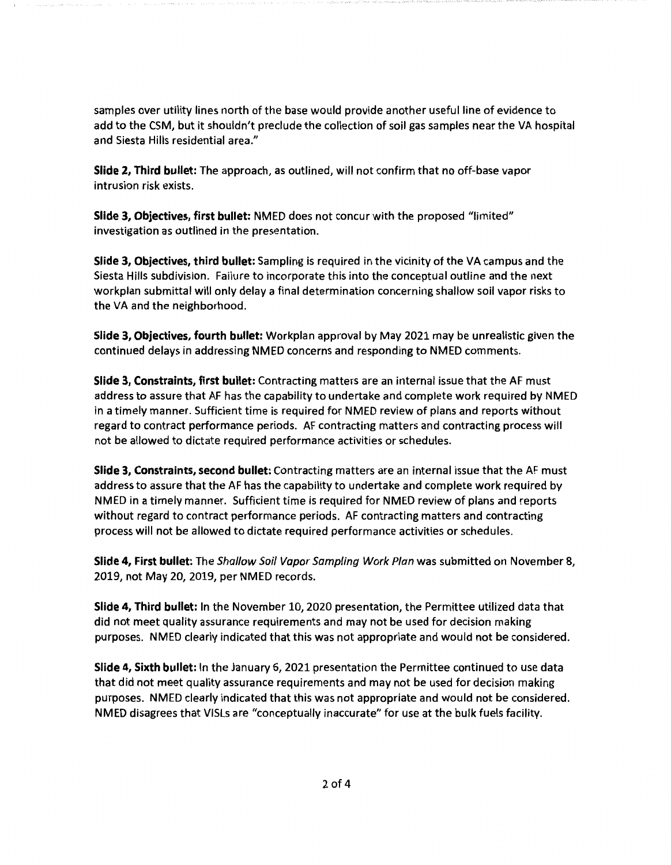samples over utility lines north of the base would provide another useful line of evidence to add to the CSM, but it shouldn't preclude the collection of soil gas samples near the VA hospital and Siesta Hills residential area."

**Slide 2, Third bullet:** The approach, as outlined, will not confirm that no off-base vapor intrusion risk exists.

**Slide 3, Objectives, first bullet:** NMED does not concur with the proposed "limited" investigation as outlined in the presentation.

**Slide 3, Objectives, third bullet:** Sampling is required in the vicinity of the VA campus and the Siesta Hills subdivision. Failure to incorporate this into the conceptual outline and the next workplan submittal will only delay a final determination concerning shallow soil vapor risks to the VA and the neighborhood.

**Slide 3, Objectives, fourth bullet:** Workplan approval by May 2021 may be unrealistic given the continued delays in addressing NMED concerns and responding to NMED comments.

**Slide 3, Constraints, first bullet:** Contracting matters are an internal issue that the AF must address to assure that AF has the capability to undertake and complete work required by NMED in a timely manner. Sufficient time is required for NMED review of plans and reports without regard to contract performance periods. AF contracting matters and contracting process will not be allowed to dictate required performance activities or schedules.

**Slide 3, Constraints, second bullet:** Contracting matters are an internal issue that the AF must address to assure that the AF has the capability to undertake and complete work required by NMED in a timely manner. Sufficient time is required for NMED review of plans and reports without regard to contract performance periods. AF contracting matters and contracting process will not be allowed to dictate required performance activities or schedules.

**Slide 4, First bullet:** The Shallow Soil Vapor Sampling Work Plan was submitted on November 8, 2019, not May 20, 2019, per NMED records.

**Slide 4, Third bullet:** In the November 10, 2020 presentation, the Permittee utilized data that did not meet quality assurance requirements and may not be used for decision making purposes. NMED clearly indicated that this was not appropriate and would not be considered.

**Slide 4, Sixth bullet:** In the January 6, 2021 presentation the Permittee continued to use data that did not meet quality assurance requirements and may not be used for decision making purposes. NMED clearly indicated that this was not appropriate and would not be considered. NMED disagrees that VISLs are "conceptually inaccurate" for use at the bulk fuels facility.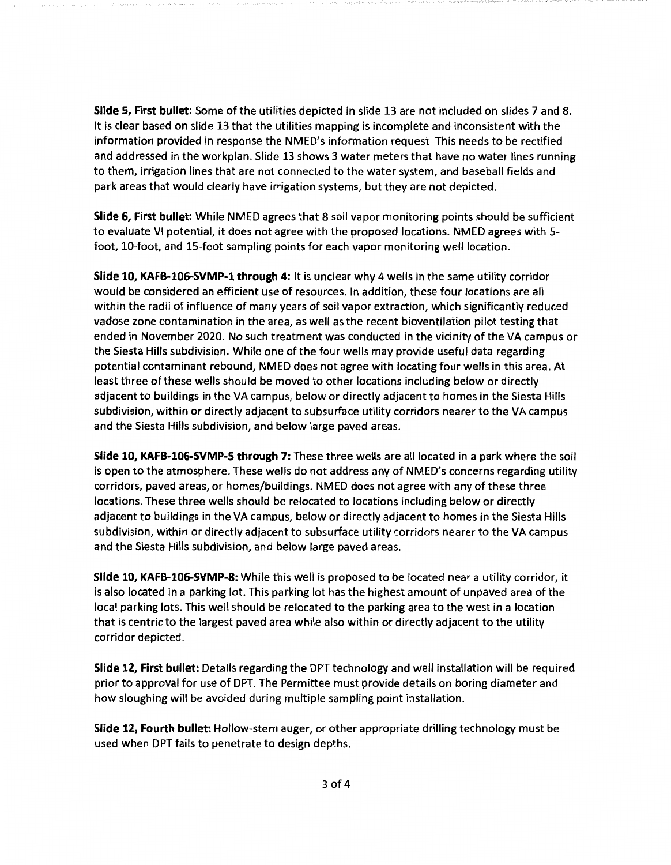**Slide 5, First bullet:** Some of the utilities depicted in slide 13 are not included on slides 7 and 8. It is clear based on slide 13 that the utilities mapping is incomplete and inconsistent with the information provided in response the NMED's information request. This needs to be rectified and addressed in the workplan. Slide 13 shows 3 water meters that have no water lines running to them, irrigation lines that are not connected to the water system, and baseball fields and park areas that would clearly have irrigation systems, but they are not depicted.

**Slide 6, First bullet:** While NMED agrees that 8 soil vapor monitoring points should be sufficient to evaluate VI potential, it does not agree with the proposed locations. NMED agrees with 5 foot, 10-foot, and 15-foot sampling points for each vapor monitoring well location.

**Slide 10, KAFB-106-SVMP-1 through 4:** It is unclear why 4 wells in the same utility corridor would be considered an efficient use of resources. In addition, these four locations are all within the radii of influence of many years of soil vapor extraction, which significantly reduced vadose zone contamination in the area, as well as the recent bioventilation pilot testing that ended in November 2020. No such treatment was conducted in the vicinity of the VA campus or the Siesta Hills subdivision. While one of the four wells may provide useful data regarding potential contaminant rebound, NMED does not agree with locating four wells in this area. At least three of these wells should be moved to other locations including below or directly adjacent to buildings in the VA campus, below or directly adjacent to homes in the Siesta Hills subdivision, within or directly adjacent to subsurface utility corridors nearer to the VA campus and the Siesta Hills subdivision, and below large paved areas.

**Slide 10, KAFB-106-SVMP-S through 7:** These three wells are all located in a park where the soil is open to the atmosphere. These wells do not address any of NMED's concerns regarding utility corridors, paved areas, or homes/buildings. NMED does not agree with any of these three locations. These three wells should be relocated to locations including below or directly adjacent to buildings in the VA campus, below or directly adjacent to homes in the Siesta Hills subdivision, within or directly adjacent to subsurface utility corridors nearer to the VA campus and the Siesta Hills subdivision, and below large paved areas.

**Slide 10, KAFB-106-SVMP-8:** While this well is proposed to be located near a utility corridor, it is also located in a parking lot. This parking lot has the highest amount of unpaved area of the local parking lots. This well should be relocated to the parking area to the west in a location that is centric to the largest paved area while also within or directly adjacent to the utility corridor depicted.

**Slide 12, First bullet:** Details regarding the DPT technology and well installation will be required prior to approval for use of DPT. The Permittee must provide details on boring diameter and how sloughing will be avoided during multiple sampling point installation.

**Slide 12, Fourth bullet:** Hollow-stem auger, or other appropriate drilling technology must be used when DPT fails to penetrate to design depths.